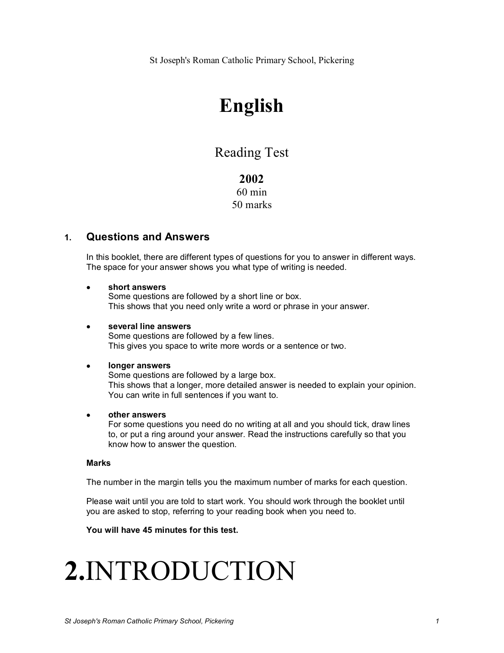St Joseph's Roman Catholic Primary School, Pickering

### **English**

### Reading Test

### **2002** 60 min 50 marks

### **1. Questions and Answers**

In this booklet, there are different types of questions for you to answer in different ways. The space for your answer shows you what type of writing is needed.

### · **short answers**

Some questions are followed by a short line or box. This shows that you need only write a word or phrase in your answer.

#### · **several line answers** Some questions are followed by a few lines. This gives you space to write more words or a sentence or two.

### · **longer answers**

Some questions are followed by a large box. This shows that a longer, more detailed answer is needed to explain your opinion. You can write in full sentences if you want to.

### · **other answers**

For some questions you need do no writing at all and you should tick, draw lines to, or put a ring around your answer. Read the instructions carefully so that you know how to answer the question.

#### **Marks**

The number in the margin tells you the maximum number of marks for each question.

Please wait until you are told to start work. You should work through the booklet until you are asked to stop, referring to your reading book when you need to.

### **You will have 45 minutes for this test.**

## **2.**INTRODUCTION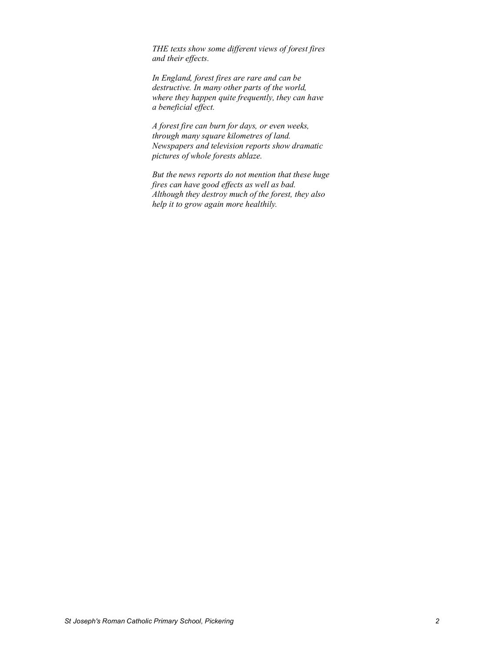*THE texts show some different views of forest fires and their effects.* 

*In England, forest fires are rare and can be destructive. In many other parts of the world, where they happen quite frequently, they can have a beneficial effect.* 

*A forest fire can burn for days, or even weeks, through many square kilometres of land. Newspapers and television reports show dramatic pictures of whole forests ablaze.*

*But the news reports do not mention that these huge fires can have good effects as well as bad. Although they destroy much of the forest, they also help it to grow again more healthily.*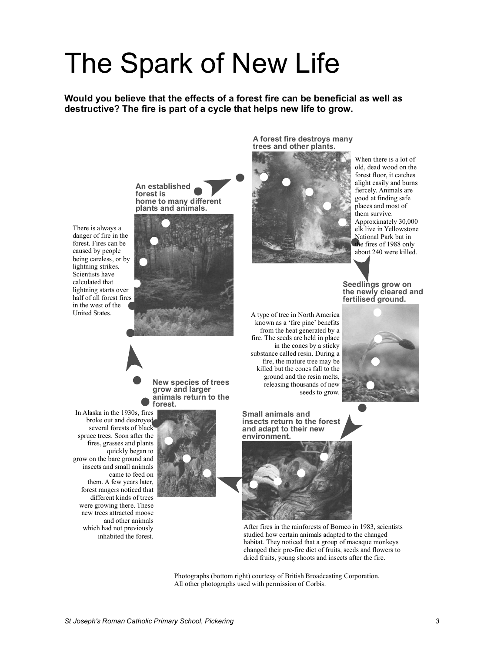# The Spark of New Life

**Would you believe that the effects of a forest fire can be beneficial as well as destructive? The fire is part of a cycle that helps new life to grow.** 

> **A forest fire destroys many trees and other plants.**



When there is a lot of old, dead wood on the forest floor, it catches alight easily and burns fiercely. Animals are good at finding safe places and most of them survive. Approximately 30,000 elk live in Yellowstone National Park but in the fires of 1988 only about 240 were killed.

**Seedlings grow on the newly cleared and fertilised ground.** 



**An established forest is home to many different plants and animals.** 

There is always a danger of fire in the forest. Fires can be caused by people being careless, or by lightning strikes. Scientists have calculated that lightning starts over half of all forest fires in the west of the United States.



**New species of trees grow and larger animals return to the forest.**

In Alaska in the 1930s, fires broke out and destroyed several forests of black spruce trees. Soon after the fires, grasses and plants quickly began to grow on the bare ground and insects and small animals came to feed on them. A few years later, forest rangers noticed that different kinds of trees were growing there. These new trees attracted moose and other animals which had not previously inhabited the forest.



A type of tree in North America known as a 'fire pine' benefits from the heat generated by a fire. The seeds are held in place in the cones by a sticky substance called resin. During a fire, the mature tree may be killed but the cones fall to the ground and the resin melts, releasing thousands of new seeds to grow.

**Small animals and insects return to the forest and adapt to their new environment.** 



After fires in the rainforests of Borneo in 1983, scientists studied how certain animals adapted to the changed habitat. They noticed that a group of macaque monkeys changed their pre-fire diet of fruits, seeds and flowers to dried fruits, young shoots and insects after the fire.

Photographs (bottom right) courtesy of British Broadcasting Corporation. All other photographs used with permission of Corbis.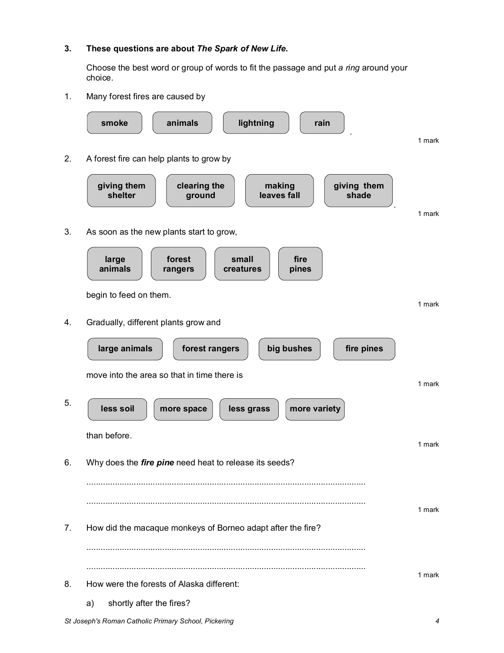### **3. These questions are about** *The Spark of New Life.*

Choose the best word or group of words to fit the passage and put *a ring* around your choice.

1. Many forest fires are caused by

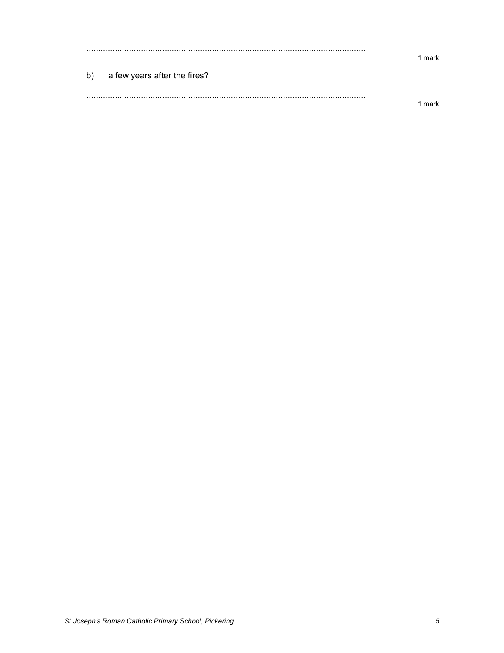|    |                              | mark |
|----|------------------------------|------|
| b) | a few years after the fires? |      |
|    |                              |      |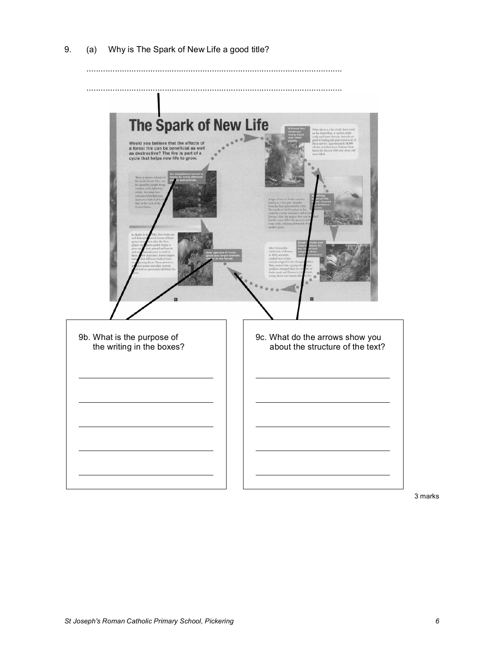

............................................................................................................



3 marks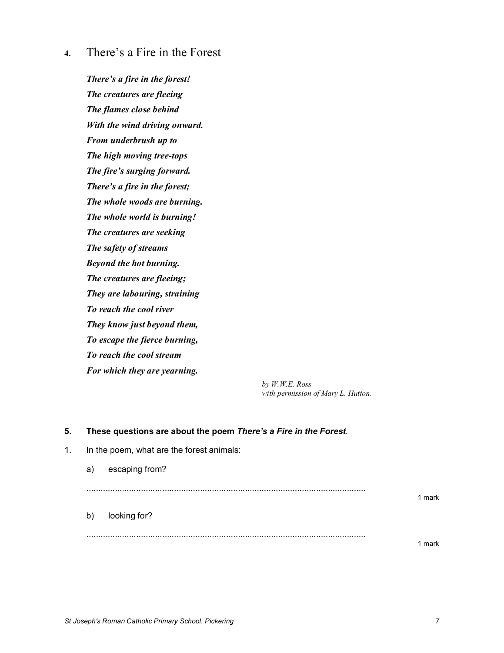**4.** There's a Fire in the Forest

*There's a fire in the forest! The creatures are fleeing The flames close behind With the wind driving onward. From underbrush up to The high moving tree-tops The fire's surging forward. There's a fire in the forest; The whole woods are burning. The whole world is burning! The creatures are seeking The safety of streams Beyond the hot burning. The creatures are fleeing; They are labouring, straining To reach the cool river They know just beyond them, To escape the fierce burning, To reach the cool stream For which they are yearning.*

> *by W.W.E. Ross with permission of Mary L. Hutton.*

### **5. These questions are about the poem** *There's a Fire in the Forest*.

| 1. | In the poem, what are the forest animals: |                |        |  |
|----|-------------------------------------------|----------------|--------|--|
|    | a)                                        | escaping from? |        |  |
|    |                                           |                | 1 mark |  |
|    | b)                                        | looking for?   |        |  |
|    |                                           |                | ma     |  |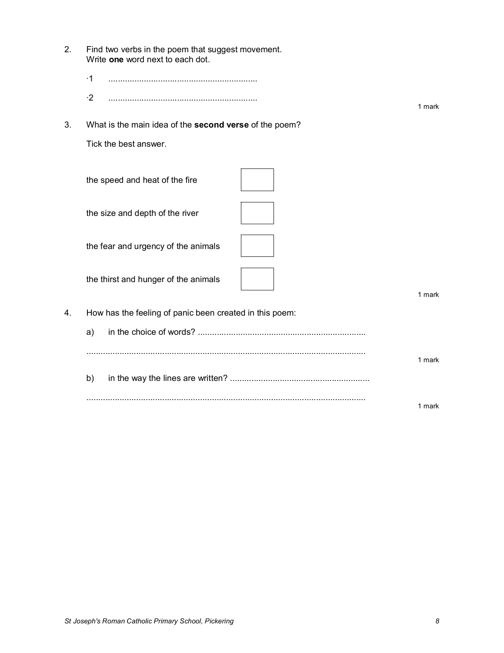| 2. | Find two verbs in the poem that suggest movement.<br>Write one word next to each dot. |        |
|----|---------------------------------------------------------------------------------------|--------|
|    | $\cdot$ 1                                                                             |        |
|    | $\cdot 2$                                                                             | 1 mark |
| 3. | What is the main idea of the second verse of the poem?                                |        |
|    | Tick the best answer.                                                                 |        |
|    | the speed and heat of the fire                                                        |        |
|    | the size and depth of the river                                                       |        |
|    | the fear and urgency of the animals                                                   |        |
|    | the thirst and hunger of the animals                                                  | 1 mark |
| 4. | How has the feeling of panic been created in this poem:                               |        |
|    | a)                                                                                    |        |
|    |                                                                                       | 1 mark |
|    | b)                                                                                    |        |
|    |                                                                                       | 1 mark |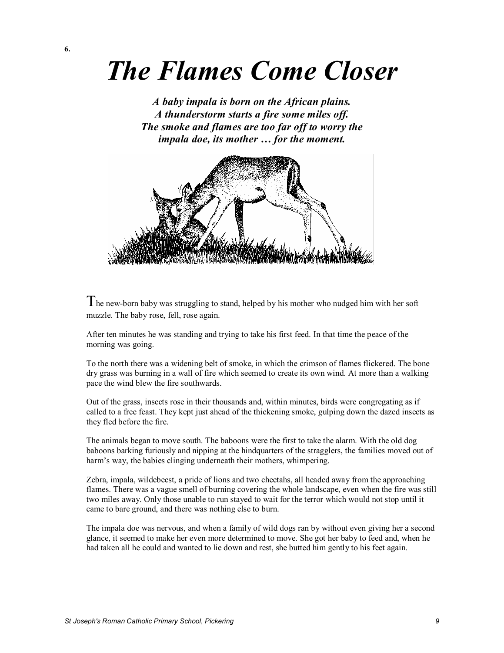## *The Flames Come Closer*

*A baby impala is born on the African plains. A thunderstorm starts a fire some miles off. The smoke and flames are too far off to worry the impala doe, its mother … for the moment.*



I he new-born baby was struggling to stand, helped by his mother who nudged him with her soft muzzle. The baby rose, fell, rose again.

After ten minutes he was standing and trying to take his first feed. In that time the peace of the morning was going.

To the north there was a widening belt of smoke, in which the crimson of flames flickered. The bone dry grass was burning in a wall of fire which seemed to create its own wind. At more than a walking pace the wind blew the fire southwards.

Out of the grass, insects rose in their thousands and, within minutes, birds were congregating as if called to a free feast. They kept just ahead of the thickening smoke, gulping down the dazed insects as they fled before the fire.

The animals began to move south. The baboons were the first to take the alarm. With the old dog baboons barking furiously and nipping at the hindquarters of the stragglers, the families moved out of harm's way, the babies clinging underneath their mothers, whimpering.

Zebra, impala, wildebeest, a pride of lions and two cheetahs, all headed away from the approaching flames. There was a vague smell of burning covering the whole landscape, even when the fire was still two miles away. Only those unable to run stayed to wait for the terror which would not stop until it came to bare ground, and there was nothing else to burn.

The impala doe was nervous, and when a family of wild dogs ran by without even giving her a second glance, it seemed to make her even more determined to move. She got her baby to feed and, when he had taken all he could and wanted to lie down and rest, she butted him gently to his feet again.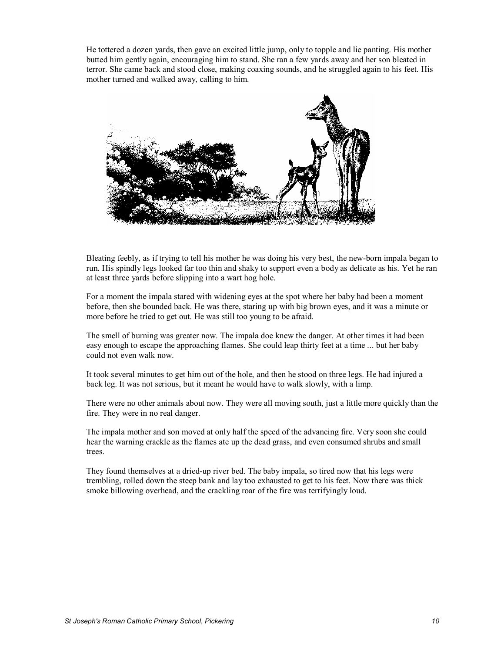He tottered a dozen yards, then gave an excited little jump, only to topple and lie panting. His mother butted him gently again, encouraging him to stand. She ran a few yards away and her son bleated in terror. She came back and stood close, making coaxing sounds, and he struggled again to his feet. His mother turned and walked away, calling to him.



Bleating feebly, as if trying to tell his mother he was doing his very best, the new-born impala began to run. His spindly legs looked far too thin and shaky to support even a body as delicate as his. Yet he ran at least three yards before slipping into a wart hog hole.

For a moment the impala stared with widening eyes at the spot where her baby had been a moment before, then she bounded back. He was there, staring up with big brown eyes, and it was a minute or more before he tried to get out. He was still too young to be afraid.

The smell of burning was greater now. The impala doe knew the danger. At other times it had been easy enough to escape the approaching flames. She could leap thirty feet at a time ... but her baby could not even walk now.

It took several minutes to get him out of the hole, and then he stood on three legs. He had injured a back leg. It was not serious, but it meant he would have to walk slowly, with a limp.

There were no other animals about now. They were all moving south, just a little more quickly than the fire. They were in no real danger.

The impala mother and son moved at only half the speed of the advancing fire. Very soon she could hear the warning crackle as the flames ate up the dead grass, and even consumed shrubs and small trees.

They found themselves at a dried-up river bed. The baby impala, so tired now that his legs were trembling, rolled down the steep bank and lay too exhausted to get to his feet. Now there was thick smoke billowing overhead, and the crackling roar of the fire was terrifyingly loud.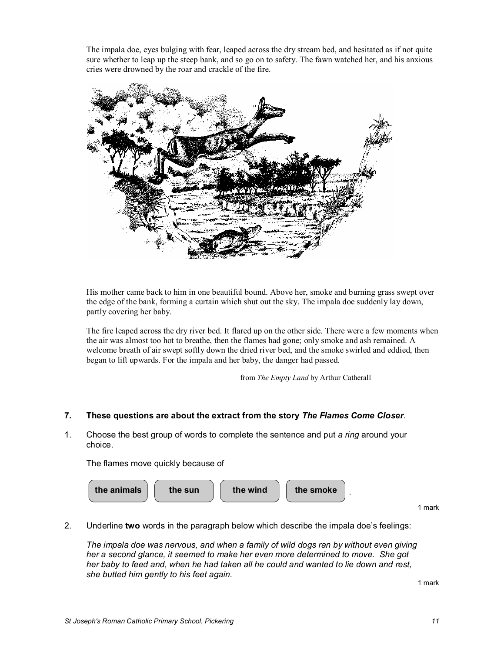The impala doe, eyes bulging with fear, leaped across the dry stream bed, and hesitated as if not quite sure whether to leap up the steep bank, and so go on to safety. The fawn watched her, and his anxious cries were drowned by the roar and crackle of the fire.



His mother came back to him in one beautiful bound. Above her, smoke and burning grass swept over the edge of the bank, forming a curtain which shut out the sky. The impala doe suddenly lay down, partly covering her baby.

The fire leaped across the dry river bed. It flared up on the other side. There were a few moments when the air was almost too hot to breathe, then the flames had gone; only smoke and ash remained. A welcome breath of air swept softly down the dried river bed, and the smoke swirled and eddied, then began to lift upwards. For the impala and her baby, the danger had passed.

from *The Empty Land* by Arthur Catherall

### **7. These questions are about the extract from the story** *The Flames Come Closer*.

1. Choose the best group of words to complete the sentence and put *a ring* around your choice.

The flames move quickly because of



2. Underline **two** words in the paragraph below which describe the impala doe's feelings:

*The impala doe was nervous, and when a family of wild dogs ran by without even giving her a second glance, it seemed to make her even more determined to move. She got her baby to feed and, when he had taken all he could and wanted to lie down and rest, she butted him gently to his feet again.*

1 mark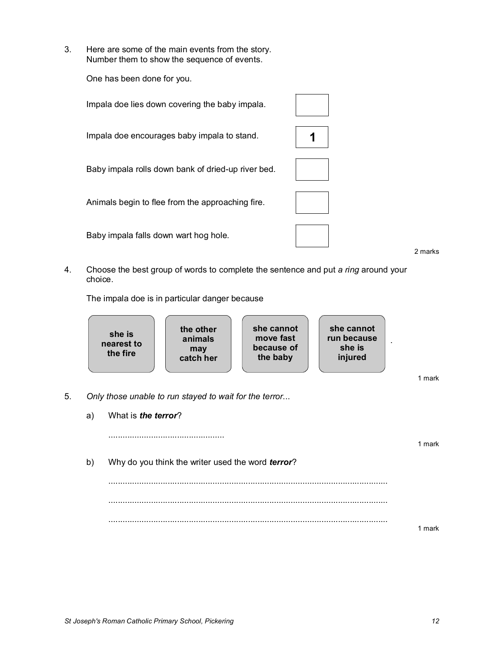3. Here are some of the main events from the story. Number them to show the sequence of events.

One has been done for you.

Impala doe lies down covering the baby impala.

Impala doe encourages baby impala to stand. **1** 

Baby impala rolls down bank of dried-up river bed.

Animals begin to flee from the approaching fire.

Baby impala falls down wart hog hole.

2 marks

1 mark

4. Choose the best group of words to complete the sentence and put *a ring* around your choice.

The impala doe is in particular danger because

|    | she is<br>nearest to<br>the fire                       | the other<br>animals<br>may<br>catch her | she cannot<br>move fast<br>because of<br>the baby | she cannot<br>run because<br>she is<br>injured |        |
|----|--------------------------------------------------------|------------------------------------------|---------------------------------------------------|------------------------------------------------|--------|
|    |                                                        |                                          |                                                   |                                                | 1 mark |
| 5. | Only those unable to run stayed to wait for the terror |                                          |                                                   |                                                |        |
|    |                                                        |                                          |                                                   |                                                |        |

- - a) What is *the terror*?

.................................................

b) Why do you think the writer used the word *terror*? ......................................................................................................................

...................................................................................................................... ...................................................................................................................... 1 mark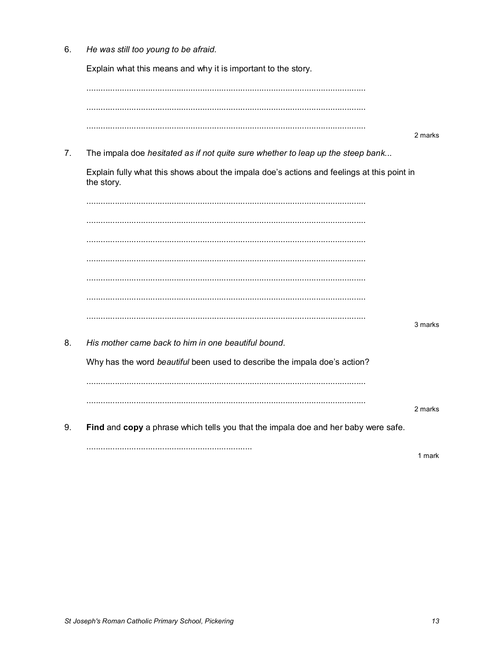6. He was still too young to be afraid.

Explain what this means and why it is important to the story.

2 marks

 $7.$ The impala doe hesitated as if not quite sure whether to leap up the steep bank...

Explain fully what this shows about the impala doe's actions and feelings at this point in the story.

3 marks His mother came back to him in one beautiful bound. Why has the word beautiful been used to describe the impala doe's action? 

9. Find and copy a phrase which tells you that the impala doe and her baby were safe.

8.

1 mark

2 marks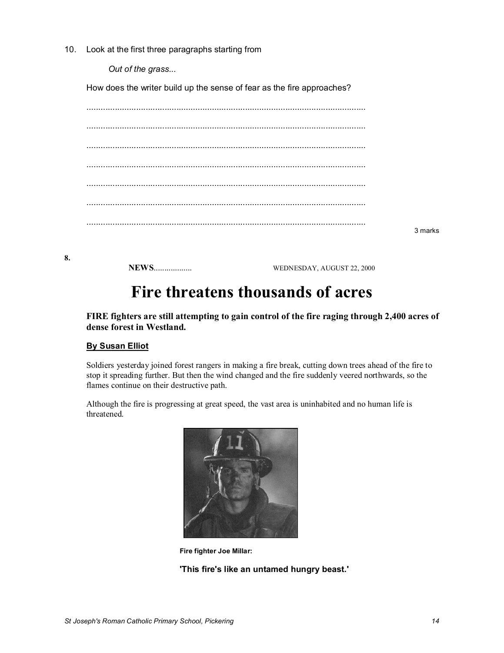10. Look at the first three paragraphs starting from

*Out of the grass...*

How does the writer build up the sense of fear as the fire approaches?

| 3 marks |
|---------|

**8.** 

**NEWS**.................. WEDNESDAY, AUGUST 22, 2000

### **Fire threatens thousands of acres**

**FIRE fighters are still attempting to gain control of the fire raging through 2,400 acres of dense forest in Westland.** 

### **By Susan Elliot**

Soldiers yesterday joined forest rangers in making a fire break, cutting down trees ahead of the fire to stop it spreading further. But then the wind changed and the fire suddenly veered northwards, so the flames continue on their destructive path.

Although the fire is progressing at great speed, the vast area is uninhabited and no human life is threatened.



**Fire fighter Joe Millar:**

**'This fire's like an untamed hungry beast.'**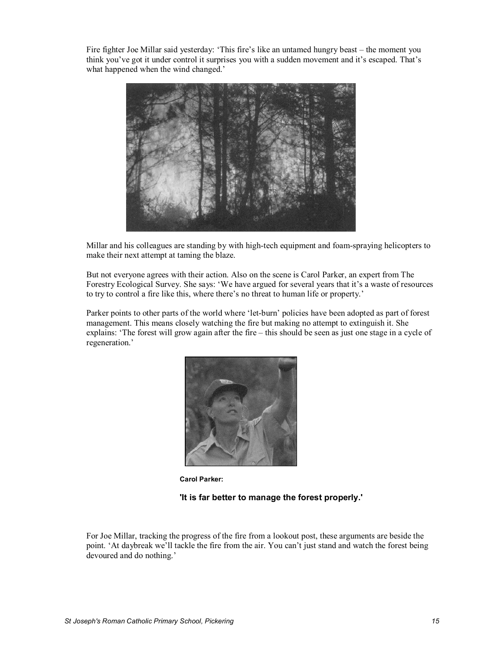Fire fighter Joe Millar said yesterday: 'This fire's like an untamed hungry beast – the moment you think you've got it under control it surprises you with a sudden movement and it's escaped. That's what happened when the wind changed.'



Millar and his colleagues are standing by with high-tech equipment and foam-spraying helicopters to make their next attempt at taming the blaze.

But not everyone agrees with their action. Also on the scene is Carol Parker, an expert from The Forestry Ecological Survey. She says: 'We have argued for several years that it's a waste of resources to try to control a fire like this, where there's no threat to human life or property.'

Parker points to other parts of the world where 'let-burn' policies have been adopted as part of forest management. This means closely watching the fire but making no attempt to extinguish it. She explains: 'The forest will grow again after the fire – this should be seen as just one stage in a cycle of regeneration.'



**Carol Parker:**

#### **'It is far better to manage the forest properly.'**

For Joe Millar, tracking the progress of the fire from a lookout post, these arguments are beside the point. 'At daybreak we'll tackle the fire from the air. You can't just stand and watch the forest being devoured and do nothing.'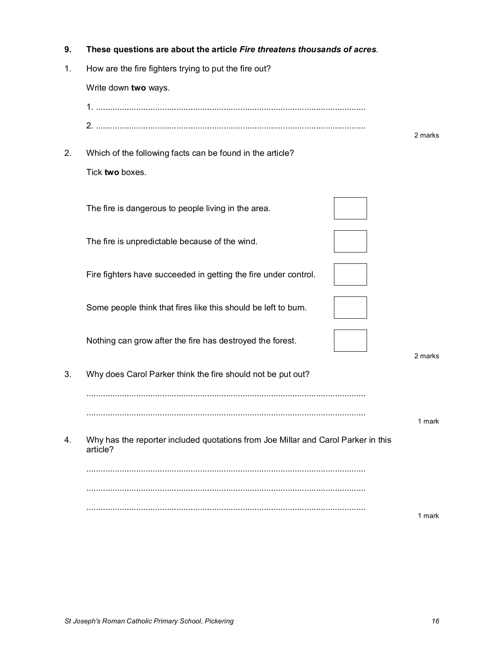| 9. | These questions are about the article Fire threatens thousands of acres.                      |         |  |  |  |
|----|-----------------------------------------------------------------------------------------------|---------|--|--|--|
| 1. | How are the fire fighters trying to put the fire out?                                         |         |  |  |  |
|    | Write down two ways.                                                                          |         |  |  |  |
|    |                                                                                               |         |  |  |  |
|    |                                                                                               | 2 marks |  |  |  |
| 2. | Which of the following facts can be found in the article?                                     |         |  |  |  |
|    | Tick two boxes.                                                                               |         |  |  |  |
|    | The fire is dangerous to people living in the area.                                           |         |  |  |  |
|    | The fire is unpredictable because of the wind.                                                |         |  |  |  |
|    | Fire fighters have succeeded in getting the fire under control.                               |         |  |  |  |
|    | Some people think that fires like this should be left to burn.                                |         |  |  |  |
|    | Nothing can grow after the fire has destroyed the forest.                                     | 2 marks |  |  |  |
| 3. | Why does Carol Parker think the fire should not be put out?                                   |         |  |  |  |
|    |                                                                                               | 1 mark  |  |  |  |
| 4. | Why has the reporter included quotations from Joe Millar and Carol Parker in this<br>article? |         |  |  |  |
|    |                                                                                               |         |  |  |  |
|    |                                                                                               |         |  |  |  |
|    |                                                                                               | 1 mark  |  |  |  |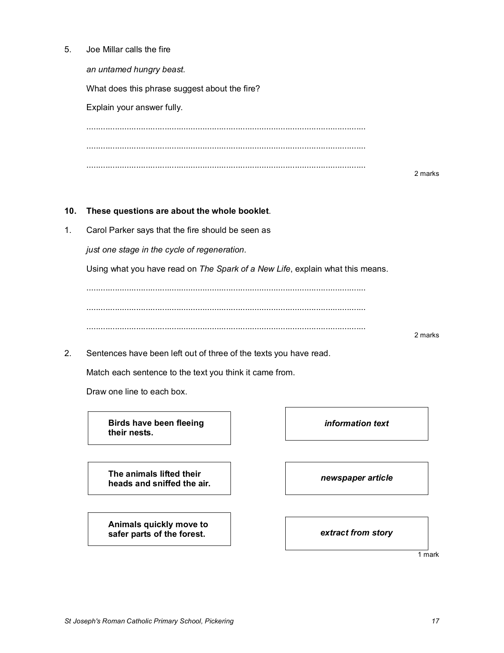5. Joe Millar calls the fire

*an untamed hungry beast.* What does this phrase suggest about the fire? Explain your answer fully. ...................................................................................................................... ...................................................................................................................... ...................................................................................................................... 2 marks **10. These questions are about the whole booklet**. 1. Carol Parker says that the fire should be seen as *just one stage in the cycle of regeneration.* Using what you have read on *The Spark of a New Life*, explain what this means. ...................................................................................................................... ...................................................................................................................... ...................................................................................................................... 2 marks

2. Sentences have been left out of three of the texts you have read.

Match each sentence to the text you think it came from.

Draw one line to each box.

**Birds have been fleeing their nests.**

*information text*

**The animals lifted their heads and sniffed the air.** *newspaper article*

**Animals quickly move to safer parts of the forest.** *extract from story*

1 mark